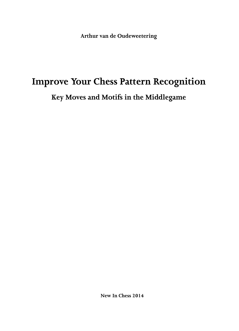Arthur van de Oudeweetering

# **Improve Your Chess Pattern Recognition**

Key Moves and Motifs in the Middlegame

New In Chess 2014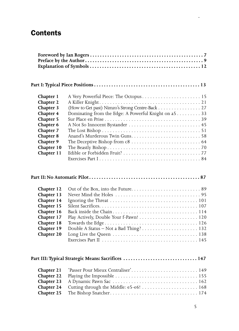## **Contents**

| Chapter 1<br>Chapter 2<br>Chapter 3<br>Chapter 4<br>Chapter 5<br>Chapter 6<br>Chapter 7<br>Chapter 8<br>Chapter 9<br>Chapter 10<br>Chapter 11 | (How to Get past) Nimzo's Strong Centre-Back 27<br>Dominating from the Edge: A Powerful Knight on a5 33 |  |  |  |  |
|-----------------------------------------------------------------------------------------------------------------------------------------------|---------------------------------------------------------------------------------------------------------|--|--|--|--|
|                                                                                                                                               |                                                                                                         |  |  |  |  |
| Chapter 12<br>Chapter 13<br>Chapter 14<br>Chapter 15<br>Chapter 16<br>Chapter 17<br>Chapter 18<br>Chapter 19<br><b>Chapter 20</b>             |                                                                                                         |  |  |  |  |
|                                                                                                                                               |                                                                                                         |  |  |  |  |
| Chapter 21<br>Chapter 22<br>Chapter 23<br>Chapter 24<br>Chapter 25                                                                            | 'Passer Pour Mieux Centraliser' 149                                                                     |  |  |  |  |

 $\bar{\phantom{a}}$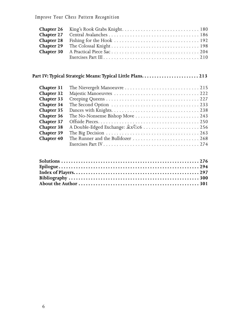## 

| The Second Option $\ldots \ldots \ldots \ldots \ldots \ldots \ldots \ldots \ldots \ldots 233$       |
|-----------------------------------------------------------------------------------------------------|
|                                                                                                     |
|                                                                                                     |
|                                                                                                     |
|                                                                                                     |
| The Big Decision $\ldots \ldots \ldots \ldots \ldots \ldots \ldots \ldots \ldots \ldots \ldots 263$ |
| The Runner and the Bulldozer  268                                                                   |
|                                                                                                     |
|                                                                                                     |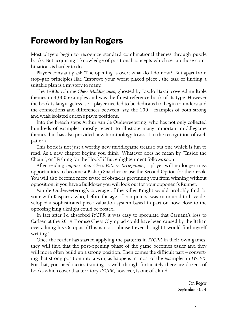## **Foreword by Ian Rogers**

Most players begin to recognize standard combinational themes through puzzle books. But acquiring a knowledge of positional concepts which set up those combinations is harder to do.

Players constantly ask 'The opening is over; what do I do now?' But apart from stop-gap principles like 'Improve your worst placed piece', the task of finding a suitable plan is a mystery to many.

The 1980s volume *Chess Middlegames*, ghosted by Laszlo Hazai, covered multiple themes in 4,000 examples and was the finest reference book of its type. However the book is languageless, so a player needed to be dedicated to begin to understand the connections and differences between, say, the  $100+$  examples of both strong and weak isolated queen's pawn positions.

Into the breach steps Arthur van de Oudeweetering, who has not only collected hundreds of examples, mostly recent, to illustrate many important middlegame themes, but has also provided new terminology to assist in the recognition of each pattern.

This book is not just a worthy new middlegame treatise but one which is fun to read. As a new chapter begins you think 'Whatever does he mean by "Inside the Chain", or "Fishing for the Hook"?' But enlightenment follows soon.

After reading *Improve Your Chess Pattern Recognition*, a player will no longer miss opportunities to become a Bishop Snatcher or use the Second Option for their rook. You will also become more aware of obstacles preventing you from winning without opposition; if you have a Bulldozer you will look out for your opponent's Runner.

Van de Oudeweetering's coverage of the Killer Knight would probably find favour with Kasparov who, before the age of computers, was rumoured to have developed a sophisticated piece valuation system based in part on how close to the opposing king a knight could be posted.

In fact after I'd absorbed *IYCPR* it was easy to speculate that Caruana's loss to Carlsen at the 2014 Tromsø Chess Olympiad could have been caused by the Italian overvaluing his Octopus. (This is not a phrase I ever thought I would find myself writing.)

Once the reader has started applying the patterns in *IYCPR* in their own games, they will find that the post-opening phase of the game becomes easier and they will more often build up a strong position. Then comes the difficult part – converting that strong position into a win, as happens in most of the examples in *IYCPR*. For that, you need tactics training as well, though fortunately there are dozens of books which cover that territory. *IYCPR*, however, is one of a kind.

> *Ian Rogers Sep tem ber 2014*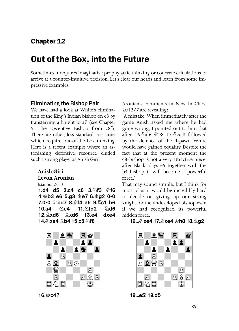## **Chapter 12**

## Out of the Box, into the Future

Sometimes it requires imaginative prophylactic thinking or concrete calculations to arrive at a counter-intuitive decision. Let's clear our heads and learn from some impressive examples.

#### **Eliminating the Bishop Pair**

We have had a look at White's elimination of the King's Indian bishop on c8 by transferring a knight to a7 (see Chapter 9 'The Deceptive Bishop from c8'). There are other, less standard occasions which require out-of-the-box thinking. Here is a recent example where an astonishing defensive resource eluded such a strong player as Anish Giri.

```
Anish Giri
Levon Aronian
Istanbul 2012
```
1.d4 d5 2.c4 c6 3. $\sqrt[3]{16}$ 4. Web3 e6 5.g3 **Leam** 6. g g 2 0-0 7.0-0 第bd7 8. f4 a5 9. Ltd h6  $10.$ a4  $\Diamond$ e4 11. $\Diamond$ fd2  $\Diamond$ d6 12.Ãxd6 Ãxd6 13.e4 dxe4 14. $\Diamond$ xe4  $\Diamond$  b4 15.c5  $\Diamond$ f6



16. Wc4?

Aronian's com ments in New In Chess  $2012/7$  are revealing:

'A mistake. When immediately after the game Anish asked me where he had gone wrong, I pointed out to him that after 16.<sup></sup>d6 e8 17. $\&$ xc8 followed by the defence of the d-pawn White would have gained equality. Despite the fact that at the present moment the c8-bishop is not a very attractive piece, after Black plays e5 together with the b4-bishop it will become a powerful force.'

That may sound simple, but I think for most of us it would be incredibly hard to decide on giving up our strong knight for the undeveloped bishop even if we had recognized its powerful hidden force.

16... $\&$ xe4 17. $\&$ xe4  $\&$ h8 18. $\&$ g2



18...e5! 19.d5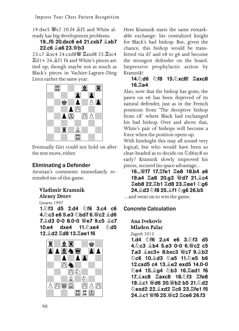19.dxe5 響e7 20.f4  $$f_5$  and White already has big development problems.

#### 19. f5 20. dxc6 e4 21. cxb7  $\&$ xb7 22.c6  $\frac{6}{9}$  a6.23.  $\frac{10}{2}$ b3

23.c7  $\& xc4.24.cxd8$  響  $\& xd8.25.\& xc4.24.cxd8$  $\mathbb{Z}$ d1+ 26. $\mathbb{\hat{A}}$ f1 f4 and White's pieces are tied up, though maybe not as much as Black's pieces in Vachier-Lagrave-Ding Liren earlier the same year:



Eventually Giri could not hold on after the text move, either.

## **Eliminating a Defender**

Aronian's comments immediately reminded me of this game.

#### Vladimir Kramnik **Alexey Dreev**

Linares 1997

1.④f3 d5 2.d4 ④f6 3.c4 c6 7. d3 0-0 8.0-0 彎e7 9.c5 拿c7  $10.e4$  $dxe4$ 11 $\sqrt{ }$  xe4 **⊘ි** d5 12. d2 **Ld8** 13. Lae1 f6



Here Kramnik starts the same remarkable exchange: his centralized knight for Black's bad bishop. But, given the chance, this bishop would be transferred via d7 and e8 to g6 and become the strongest defender on the board. Impressive prophylactic action by Kramnik!

#### 14.のd6 のf8 15.のxc8! 耳axc8 16. Le4

Also, now that the bishop has gone, the pawn on e6 has been deprived of its natural defender, just as in the French positions from 'The deceptive bishop from c8' where Black had exchanged his bad bishop. Over and above that, White's pair of bishops will become a force when the position opens up.

With hindsight this may all sound very logical, but who would have been so clear-headed as to decide on  $\triangle$ d6xc8 so early? Kramnik slowly improved his pieces, secured his space advantage...

16... *警f7* 17. Life1 Lie8 18.b4 a6 19.a4 Ia8 20.g3 彎d7 21. c4 **③ 22.③ 48 23.③ 23.④ 26 296** 24. d3 公f8 25. gf1 公g6 26.b5

... and went on to win the game.

### **Concrete Calculation**

#### Ana Ivekovic **Mladen Palac** Zagreb 2013 1.d4 公f6 2.c4 e6 3.公f3 d5 4. hc3 鱼b4 5.e3 0-0 6. 曾c2 c5 7.a3 **gxc3+ 8.bxc3 曾c7 9.gb2** වි**c6 10.** d3 විa5 11. විe5 b6 12.cxd5 c4 13. e2 exd5 14.0-0 ②e4 15. g4 公b3 16. Lad1 f6 公exd2 22. xd2 耳c6 23.耳fe1 f5 24 oc1 彎f6 25 彎c2 耳ce6 26.f3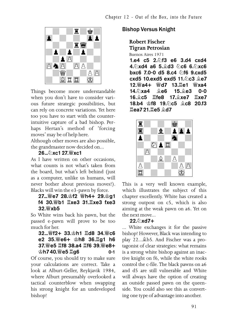

Things become more understandable when you don't have to consider various future strategic possibilities, but can rely on concrete variations. Yet here too you have to start with the counterintuitive capture of a bad bishop. Perhaps Hertan's method of 'forcing moves' may be of help here.

Although other moves are also possible, the grand master now decided on...

#### 26... $\Diamond$ xc1 27. Wxc1

As I have written on other occasions, what counts is not what's taken from the board, but what's left behind (just as a computer, unlike us humans, will never bother about previous moves!). Blacks will win the e3-pawn by force.

#### 27... @e7 28. gf2 @h4+ 29. g1 f4 30. b1  $\Sigma$ xe3 31. Xxe3 fxe3 32. Wxb5

So White wins back his pawn, but the passed e-pawn will prove to be too much for her.

#### 32... *s*f2+ 33. gh1  $\Pi$ d8 34. sc6 e2 35. se6+ \$h8 36. g1 h6 37. e5 If8 38.a4 If6 39. @ e8+ ®h7 40.©e5 Õg6 0-1

Of course, you should try to make sure your calculations are correct. Take a look at Alburt-Geller, Reykjavik 1984, where Alburt presumably overlooked a tactical counterblow when swapping his strong knight for an undeveloped bishop!

## **Bishop Versus Knight**

## **Robert Fischer**

**Tigran Petrosian**

Buenos Aires 1971

1.e4 c5 2. $\sqrt{ }$ f3 e6 3.d4 cxd4 4. $\&$ xd4 a6 5. $\&$ d3  $\&$ c6 6. $\&$ xc6 bxc6 7.0-0 d5 8.c4  $\Diamond$ f6 9.cxd5 cxd5 10.exd5 exd5 11. 2c3 *Le7* 12.©a4+ ©d7 13.Õe1 ©xa4  $14.$ Åxa $4$  Åe6  $15.$ Åe3 0-0 16.Ãc5 Õfe8 17.Ãxe7 Õxe7 18.b4 \$f8 19.4 c5 \$c8 20.f3  $\Xi$ ea7 21. $\Xi$ e5  $\triangleq$ d7



This is a very well known example, which illustrates the subject of this chapter excellently. White has created a strong outpost on c5, which is also aim ing at the weak pawn on a6. Yet on the next move...

#### 22. $\Diamond$ xd7+

... White exchanges it for the passive bishop! However, Black was intending to play 22... \$15. And Fischer was a protagonist of clear strategies: what remains is a strong white bishop against an inactive knight on f6, while the white rooks control the c-file. The black pawns on a6 and d5 are still vulnerable and White will always have the option of creating an outside passed pawn on the queenside. You could also see this as converting one type of advantage into another.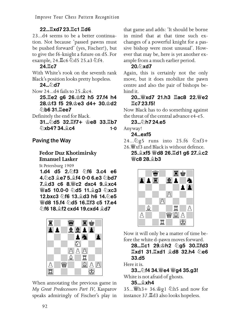### 22... II xd7 23. II c1 II d6

23...d4 seems to be a better continuation. Not because 'passed pawns must be pushed forward' (yes, Fischer!), but to give the f6-knight a future on d5. For example, 24. Lc6 2d5 25.a3 2f4.

#### 24.耳c7

With White's rook on the seventh rank Black's position looks pretty hopeless.

- 24…∕ ∂d7
- Now 24... $d4$  fails to  $25 \text{ g}c4$ .

#### 25. e2 g6 26. f2 h5 27.f4 h4 28. f3 f5 29. ge3 d4+ 30. gd2 **のb6 31. Lee7**

Definitely the end for Black.

|                | 31②d5 32.罝f7+ · · · · · · 33.罝b7 |     |
|----------------|----------------------------------|-----|
| ∕ ∆xb4? 34.ୁc4 |                                  | 1-0 |

### **Paving the Way**

## **Fedor Duz Khotimirsky Emanuel Lasker**

St Petersburg 1909

1.d4 d5 2. 行3 公f6 3.c4 e6 7. d3 c6  $8.$  ec2 dxc4  $9.$  exc4 **്ജ്a5 10.0-0 ഗ്രി5 11.**്ലീa3 ഗ്ര്xc3 12.bxc3 公f6 13. d3 h6 14. 公e5 彎d8 15.f4 のd5 16. f3 c5 17.e4 **ආf6 18.** දි**f2 cxd4 19.cxd4 දිd7** 



When annotating the previous game in My Great Predecessors Part IV, Kasparov speaks admiringly of Fischer's play in that game and adds: 'It should be borne in mind that at that time such exchanges of a powerful knight for a passive bishop were most unusual'. However that may be, here is yet another example from a much earlier period.

#### $20.$   $\Diamond$  xd7

Again, this is certainly not the only move, but it does mobilize the pawn centre and also the pair of bishops behind it.

#### 20... *Wi*xd7 21.h3 耳ac8 22. We2 買c7 23.f5!

Now Black has to do something against the threat of the central advance e4-e5.

#### 23... h7 24.e5

Anyway!

#### 24...exf5

24... $\&$ g5 runs into 25.f6  $\&$ xf3+ 26. Y xf3 and Black is without defence.

#### 營c8 28. b3



Now it will only be a matter of time before the white d-pawn moves forward.

28... Ltd 29. gh2 2g5 30. Ltd3  $\exists$ xd1 31. $\exists$ xd1  $\triangleq$ d8 32.h4  $\Diamond$ e6 33.d5

Here it is.

#### 33...公f4 34. @e4 @g4 35.g3!

White is not afraid of ghosts.

#### 35... **A**xh4

35... | ball 36. 宫g1 公h5 and now for instance 37. Ed3 also looks hopeless.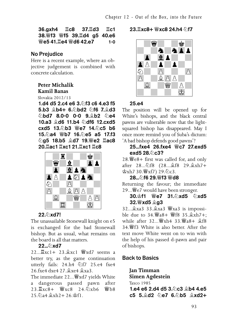```
37. 且d3
36.gxh4罝c8
                     \overline{\mathbb{Z}}c1
營e541. Le4 營d642.e7
                     1-0
```
#### **No Prejudice**

Here is a recent example, where an objective judgement is combined with concrete calculation.

#### Peter Michalik Kamil Banas

Slovakia 2012/13

1.d4 d5 2.c4 e6 3. f3 c6 4.e3 f5 5.b3 <sup>6</sup>b4+ 6. bd2 分f6 7. d3 **公bd7 8.0-0 0-0 9. b2 公e4** 10.a3 @d6 11.b4 4df6 12.cxd5 cxd5 13. b3 響e7 14. c5 b6 15. a4 *Wer* 16. a5 17. f3 **公g5 18.b5 盒d7 19. @e2 Iac8** 20. ac1 <u>Lxc1</u> 21. Lxc1 Lc8



#### $22.$  axd 7!

The unassailable Stonewall knight on e5 is exchanged for the bad Stonewall bishop. But as usual, what remains on the board is all that matters.

#### 22...②xd7

better try, as the game continuation utterly fails: 24.h4 4f7 25.e4 fxe4 26.fxe4 dxe4 27. gxe4 gxa3.

The immediate 22... Wxd7 yields White dangerous passed pawn a after  $23.\overline{2}xc8 + \overline{2}xc8 - 24.\overline{6}xb6$ 響b8 25 勾a4 盒xh2+26 空f1

23. Xc8+ Wxc8 24.h4 分f7



#### 25.e4

The position will be opened up for White's bishops, and the black central pawns are vulnerable now that the lightsquared bishop has disappeared. May I once more remind you of Suba's dictum: 'A bad bishop defends good pawns'?

#### 25. fxe4 26.fxe4 Wc7 27.exd5 exd5 28.4 c3?

28. We8+ first was called for, and only after 28...公f8 (28... 金f8 29. 金xh7+ 含xh7 30. 留xf7) 29. 2c3.

#### 28... of 6 29. 響f 3 響d 8

Returning the favour; the immediate 29... We7 would have been stronger.

#### 32. www.d5 gg3

32... kxa3 33. kxa3 \"xa3 is impossible due to 34. 曾a8+ 曾f8 35. gxh7+; while after 32... 響xh4 33. 響a8+ 盒f8 34. 彎f3 White is also better. After the text move White went on to win with the help of his passed d-pawn and pair of bishops.

### **Back to Basics**

Jan Timman **Simen Agdestein Taxco 1985** c5 5. d2 公e7 6. 公b5 盒xd2+